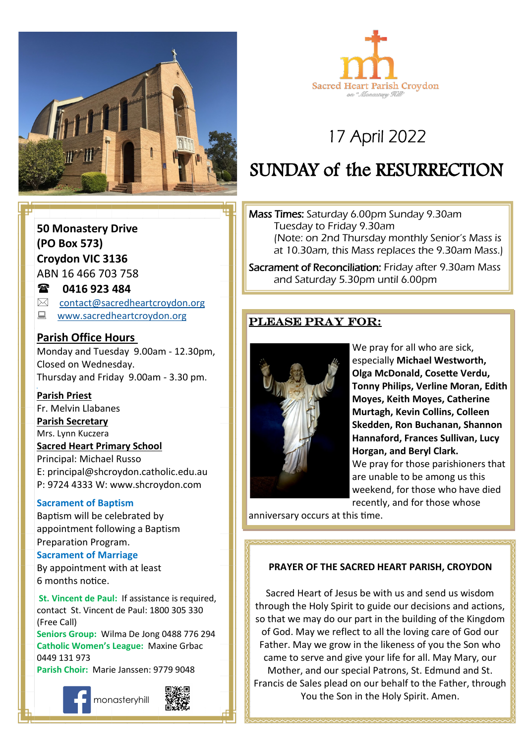



# 17 April 2022

# SUNDAY of the RESURRECTION

Mass Times: Saturday 6.00pm Sunday 9.30am Tuesday to Friday 9.30am (Note: on 2nd Thursday monthly Senior's Mass is at 10.30am, this Mass replaces the 9.30am Mass.)

Sacrament of Reconciliation: Friday after 9.30am Mass and Saturday 5.30pm until 6.00pm

## Please pray for:



We pray for all who are sick, especially **Michael Westworth, Olga McDonald, Cosette Verdu, Tonny Philips, Verline Moran, Edith Moyes, Keith Moyes, Catherine Murtagh, Kevin Collins, Colleen Skedden, Ron Buchanan, Shannon Hannaford, Frances Sullivan, Lucy Horgan, and Beryl Clark.** We pray for those parishioners that are unable to be among us this weekend, for those who have died recently, and for those whose

anniversary occurs at this time.

#### **PRAYER OF THE SACRED HEART PARISH, CROYDON**

Sacred Heart of Jesus be with us and send us wisdom through the Holy Spirit to guide our decisions and actions, so that we may do our part in the building of the Kingdom of God. May we reflect to all the loving care of God our Father. May we grow in the likeness of you the Son who came to serve and give your life for all. May Mary, our Mother, and our special Patrons, St. Edmund and St. Francis de Sales plead on our behalf to the Father, through You the Son in the Holy Spirit. Amen.

# **50 Monastery Drive (PO Box 573) Croydon VIC 3136**

ABN 16 466 703 758

### **0416 923 484**

- $\boxtimes$  [contact@sacredheartcroydon.org](mailto:contact@sacredheartcroydon.org)
- **E** [www.sacredheartcroydon.org](http://www.sacredheartcroydon.org/)

### **Parish Office Hours**

Monday and Tuesday 9.00am - 12.30pm, Closed on Wednesday. Thursday and Friday 9.00am - 3.30 pm.

#### **Parish Priest**

Fr. Melvin Llabanes

#### **Parish Secretary**

Mrs. Lynn Kuczera

#### **Sacred Heart Primary School**

Principal: Michael Russo E: principal@shcroydon.catholic.edu.au P: 9724 4333 W: www.shcroydon.com

#### **Sacrament of Baptism**

Baptism will be celebrated by appointment following a Baptism Preparation Program.

#### **Sacrament of Marriage**

By appointment with at least 6 months notice.

 **St. Vincent de Paul:** If assistance is required, contact St. Vincent de Paul: 1800 305 330 (Free Call)

**Seniors Group:** Wilma De Jong 0488 776 294 **Catholic Women's League:** Maxine Grbac 0449 131 973 **Parish Choir:** Marie Janssen: 9779 9048